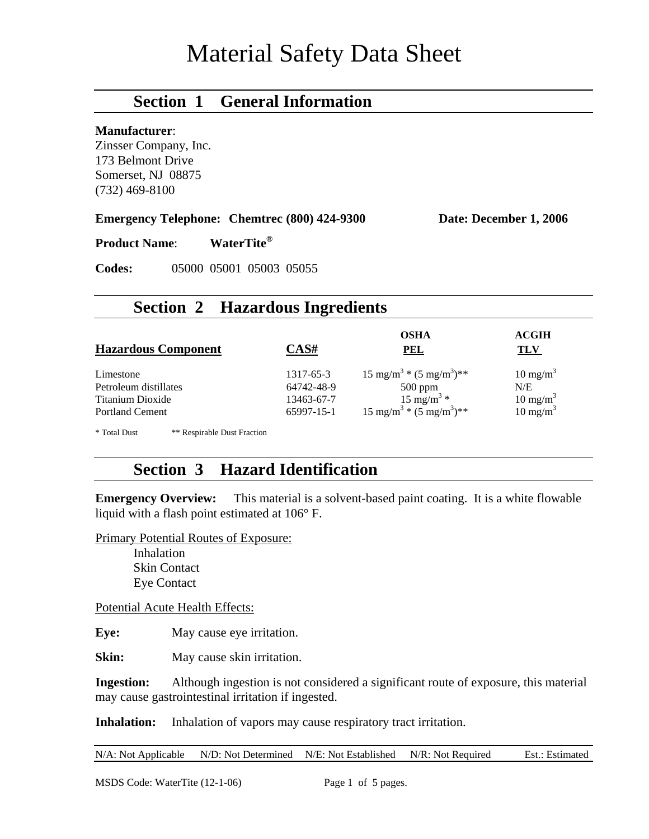# Material Safety Data Sheet

# **Section 1 General Information**

#### **Manufacturer**:

Zinsser Company, Inc. 173 Belmont Drive Somerset, NJ 08875 (732) 469-8100

**Emergency Telephone: Chemtrec (800) 424-9300 Date: December 1, 2006** 

**Product Name**: **WaterTite®**

**Codes:** 05000 05001 05003 05055

### **Section 2 Hazardous Ingredients**

| <b>Hazardous Component</b>                  | CAS#       | <b>OSHA</b><br><b>PEL</b>                     | <b>ACGIH</b><br>TLV |
|---------------------------------------------|------------|-----------------------------------------------|---------------------|
| Limestone                                   | 1317-65-3  | $15 \text{ mg/m}^3$ * $(5 \text{ mg/m}^3)$ ** | $10 \text{ mg/m}^3$ |
| Petroleum distillates                       | 64742-48-9 | $500$ ppm                                     | N/E                 |
| Titanium Dioxide                            | 13463-67-7 | $15 \text{ mg/m}^3 *$                         | $10 \text{ mg/m}^3$ |
| <b>Portland Cement</b>                      | 65997-15-1 | $15 \text{ mg/m}^3$ * $(5 \text{ mg/m}^3)$ ** | $10 \text{ mg/m}^3$ |
| * Total Dust<br>** Respirable Dust Fraction |            |                                               |                     |

# **Section 3 Hazard Identification**

**Emergency Overview:** This material is a solvent-based paint coating. It is a white flowable liquid with a flash point estimated at 106° F.

Primary Potential Routes of Exposure:

Inhalation Skin Contact Eye Contact

Potential Acute Health Effects:

**Eye:** May cause eye irritation.

**Skin:** May cause skin irritation.

**Ingestion:** Although ingestion is not considered a significant route of exposure, this material may cause gastrointestinal irritation if ingested.

**Inhalation:** Inhalation of vapors may cause respiratory tract irritation.

|  | N/A: Not Applicable N/D: Not Determined N/E: Not Established N/R: Not Required |  |  | Est.: Estimated |
|--|--------------------------------------------------------------------------------|--|--|-----------------|
|--|--------------------------------------------------------------------------------|--|--|-----------------|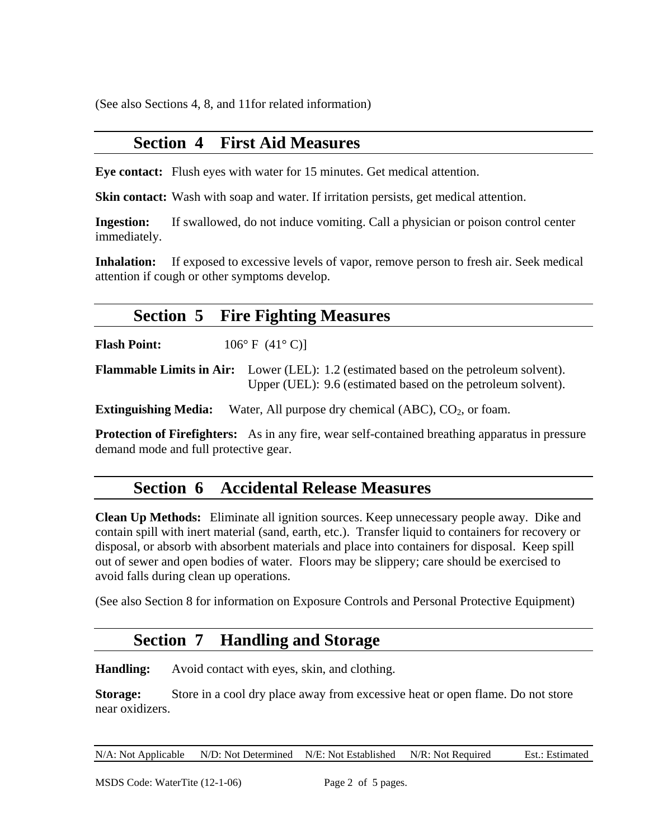(See also Sections 4, 8, and 11for related information)

## **Section 4 First Aid Measures**

**Eye contact:** Flush eyes with water for 15 minutes. Get medical attention.

**Skin contact:** Wash with soap and water. If irritation persists, get medical attention.

**Ingestion:** If swallowed, do not induce vomiting. Call a physician or poison control center immediately.

**Inhalation:** If exposed to excessive levels of vapor, remove person to fresh air. Seek medical attention if cough or other symptoms develop.

# **Section 5 Fire Fighting Measures**

**Flash Point:** 106° F (41° C)]

**Flammable Limits in Air:** Lower (LEL): 1.2 (estimated based on the petroleum solvent). Upper (UEL): 9.6 (estimated based on the petroleum solvent).

**Extinguishing Media:** Water, All purpose dry chemical (ABC), CO<sub>2</sub>, or foam.

**Protection of Firefighters:** As in any fire, wear self-contained breathing apparatus in pressure demand mode and full protective gear.

# **Section 6 Accidental Release Measures**

**Clean Up Methods:** Eliminate all ignition sources. Keep unnecessary people away. Dike and contain spill with inert material (sand, earth, etc.). Transfer liquid to containers for recovery or disposal, or absorb with absorbent materials and place into containers for disposal. Keep spill out of sewer and open bodies of water. Floors may be slippery; care should be exercised to avoid falls during clean up operations.

(See also Section 8 for information on Exposure Controls and Personal Protective Equipment)

# **Section 7 Handling and Storage**

**Handling:** Avoid contact with eyes, skin, and clothing.

**Storage:** Store in a cool dry place away from excessive heat or open flame. Do not store near oxidizers.

N/A: Not Applicable N/D: Not Determined N/E: Not Established N/R: Not Required Est.: Estimated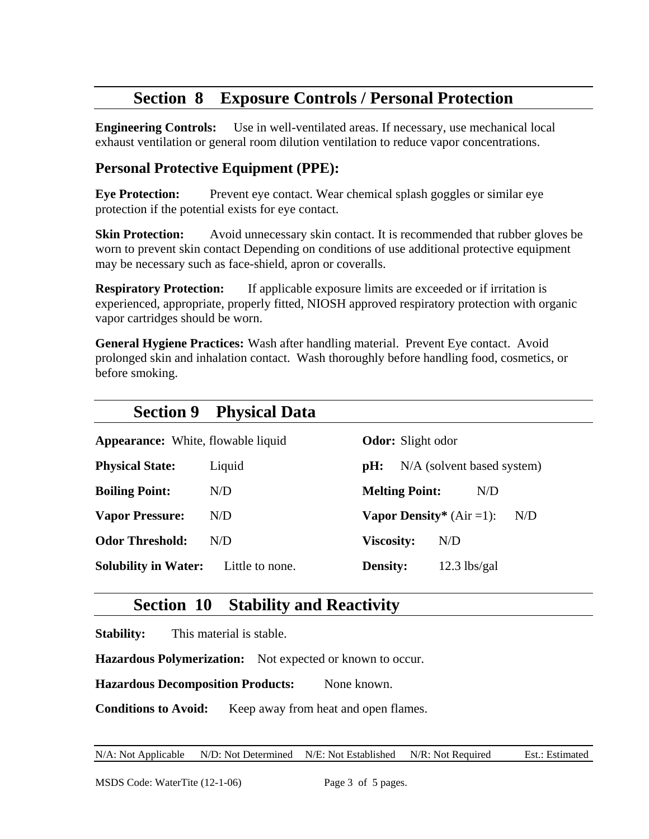# **Section 8 Exposure Controls / Personal Protection**

**Engineering Controls:** Use in well-ventilated areas. If necessary, use mechanical local exhaust ventilation or general room dilution ventilation to reduce vapor concentrations.

# **Personal Protective Equipment (PPE):**

**Eye Protection:** Prevent eye contact. Wear chemical splash goggles or similar eye protection if the potential exists for eye contact.

**Skin Protection:** Avoid unnecessary skin contact. It is recommended that rubber gloves be worn to prevent skin contact Depending on conditions of use additional protective equipment may be necessary such as face-shield, apron or coveralls.

**Respiratory Protection:** If applicable exposure limits are exceeded or if irritation is experienced, appropriate, properly fitted, NIOSH approved respiratory protection with organic vapor cartridges should be worn.

**General Hygiene Practices:** Wash after handling material. Prevent Eye contact. Avoid prolonged skin and inhalation contact. Wash thoroughly before handling food, cosmetics, or before smoking.

| <b>Section 9</b>                          | <b>Physical Data</b> |                                             |
|-------------------------------------------|----------------------|---------------------------------------------|
| <b>Appearance:</b> White, flowable liquid |                      | <b>Odor:</b> Slight odor                    |
| <b>Physical State:</b>                    | Liquid               | N/A (solvent based system)<br>pH:           |
| <b>Boiling Point:</b>                     | N/D                  | <b>Melting Point:</b><br>N/D                |
| <b>Vapor Pressure:</b>                    | N/D                  | <b>Vapor Density</b> * $(Air = 1)$ :<br>N/D |
| <b>Odor Threshold:</b>                    | N/D                  | <b>Viscosity:</b><br>N/D                    |
| <b>Solubility in Water:</b>               | Little to none.      | <b>Density:</b><br>$12.3$ lbs/gal           |

# **Section 10 Stability and Reactivity**

**Stability:** This material is stable.

**Hazardous Polymerization:** Not expected or known to occur.

**Hazardous Decomposition Products:** None known.

**Conditions to Avoid:** Keep away from heat and open flames.

N/A: Not Applicable N/D: Not Determined N/E: Not Established N/R: Not Required Est.: Estimated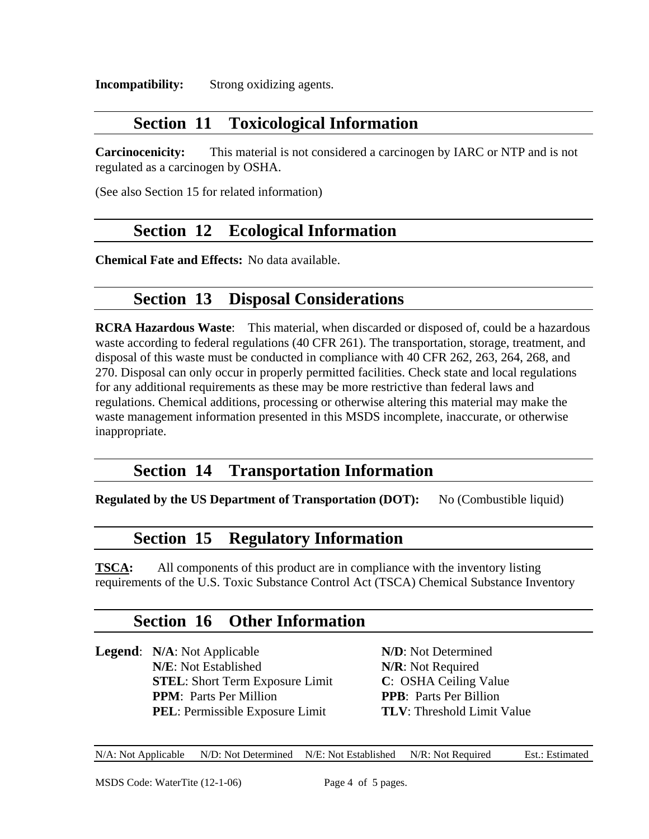**Incompatibility:** Strong oxidizing agents.

# **Section 11 Toxicological Information**

**Carcinocenicity:** This material is not considered a carcinogen by IARC or NTP and is not regulated as a carcinogen by OSHA.

(See also Section 15 for related information)

# **Section 12 Ecological Information**

**Chemical Fate and Effects:** No data available.

# **Section 13 Disposal Considerations**

**RCRA Hazardous Waste**: This material, when discarded or disposed of, could be a hazardous waste according to federal regulations (40 CFR 261). The transportation, storage, treatment, and disposal of this waste must be conducted in compliance with 40 CFR 262, 263, 264, 268, and 270. Disposal can only occur in properly permitted facilities. Check state and local regulations for any additional requirements as these may be more restrictive than federal laws and regulations. Chemical additions, processing or otherwise altering this material may make the waste management information presented in this MSDS incomplete, inaccurate, or otherwise inappropriate.

# **Section 14 Transportation Information**

**Regulated by the US Department of Transportation (DOT):** No (Combustible liquid)

# **Section 15 Regulatory Information**

**TSCA:** All components of this product are in compliance with the inventory listing requirements of the U.S. Toxic Substance Control Act (TSCA) Chemical Substance Inventory

# **Section 16 Other Information**

**Legend**: **N/A**: Not Applicable **N/D**: Not Determined **N/E**: Not Established **N/R**: Not Required **STEL**: Short Term Exposure Limit **C**: OSHA Ceiling Value **PPM**: Parts Per Million **PPB**: Parts Per Billion **PEL**: Permissible Exposure Limit **TLV**: Threshold Limit Value

N/A: Not Applicable N/D: Not Determined N/E: Not Established N/R: Not Required Est.: Estimated